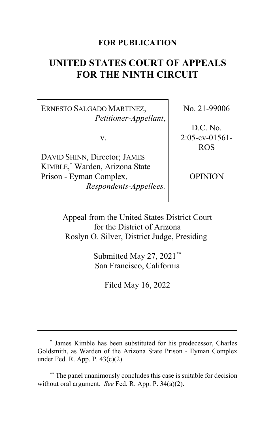### **FOR PUBLICATION**

# **UNITED STATES COURT OF APPEALS FOR THE NINTH CIRCUIT**

ERNESTO SALGADO MARTINEZ, *Petitioner-Appellant*,

v.

DAVID SHINN, Director; JAMES KIMBLE, \* Warden, Arizona State Prison - Eyman Complex, *Respondents-Appellees.* No. 21-99006

D.C. No. 2:05-cv-01561- ROS

OPINION

Appeal from the United States District Court for the District of Arizona Roslyn O. Silver, District Judge, Presiding**\***

> Submitted May 27, 2021**\*\*** San Francisco, California

> > Filed May 16, 2022

The panel unanimously concludes this case is suitable for decision without oral argument. *See* Fed. R. App. P. 34(a)(2).

**<sup>\*</sup>** James Kimble has been substituted for his predecessor, Charles Goldsmith, as Warden of the Arizona State Prison - Eyman Complex under Fed. R. App. P. 43(c)(2).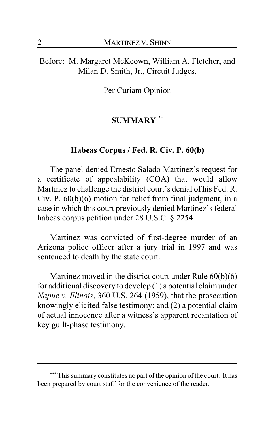Before: M. Margaret McKeown, William A. Fletcher, and Milan D. Smith, Jr., Circuit Judges.

Per Curiam Opinion

### **SUMMARY\*\*\***

#### **Habeas Corpus / Fed. R. Civ. P. 60(b)**

The panel denied Ernesto Salado Martinez's request for a certificate of appealability (COA) that would allow Martinez to challenge the district court's denial of his Fed. R. Civ. P. 60(b)(6) motion for relief from final judgment, in a case in which this court previously denied Martinez's federal habeas corpus petition under 28 U.S.C. § 2254.

Martinez was convicted of first-degree murder of an Arizona police officer after a jury trial in 1997 and was sentenced to death by the state court.

Martinez moved in the district court under Rule 60(b)(6) for additional discovery to develop (1) a potential claimunder *Napue v. Illinois*, 360 U.S. 264 (1959), that the prosecution knowingly elicited false testimony; and (2) a potential claim of actual innocence after a witness's apparent recantation of key guilt-phase testimony.

This summary constitutes no part of the opinion of the court. It has been prepared by court staff for the convenience of the reader.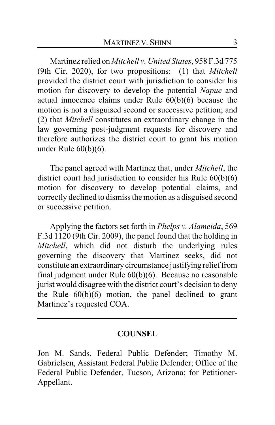Martinez relied on *Mitchell v. United States*, 958 F.3d 775 (9th Cir. 2020), for two propositions: (1) that *Mitchell* provided the district court with jurisdiction to consider his motion for discovery to develop the potential *Napue* and actual innocence claims under Rule 60(b)(6) because the motion is not a disguised second or successive petition; and (2) that *Mitchell* constitutes an extraordinary change in the law governing post-judgment requests for discovery and therefore authorizes the district court to grant his motion under Rule 60(b)(6).

The panel agreed with Martinez that, under *Mitchell*, the district court had jurisdiction to consider his Rule 60(b)(6) motion for discovery to develop potential claims, and correctly declined to dismiss the motion as a disguised second or successive petition.

Applying the factors set forth in *Phelps v. Alameida*, 569 F.3d 1120 (9th Cir. 2009), the panel found that the holding in *Mitchell*, which did not disturb the underlying rules governing the discovery that Martinez seeks, did not constitute an extraordinary circumstance justifying relieffrom final judgment under Rule 60(b)(6). Because no reasonable jurist would disagree with the district court's decision to deny the Rule  $60(b)(6)$  motion, the panel declined to grant Martinez's requested COA.

### **COUNSEL**

Jon M. Sands, Federal Public Defender; Timothy M. Gabrielsen, Assistant Federal Public Defender; Office of the Federal Public Defender, Tucson, Arizona; for Petitioner-Appellant.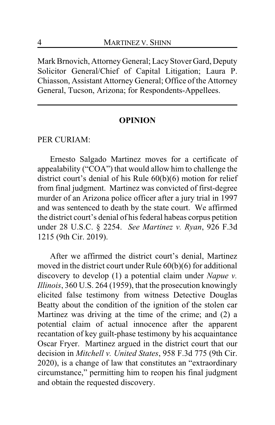Mark Brnovich, Attorney General; Lacy Stover Gard, Deputy Solicitor General/Chief of Capital Litigation; Laura P. Chiasson, Assistant Attorney General; Office of the Attorney General, Tucson, Arizona; for Respondents-Appellees.

### **OPINION**

PER CURIAM:

Ernesto Salgado Martinez moves for a certificate of appealability ("COA") that would allow him to challenge the district court's denial of his Rule  $60(b)(6)$  motion for relief from final judgment. Martinez was convicted of first-degree murder of an Arizona police officer after a jury trial in 1997 and was sentenced to death by the state court. We affirmed the district court's denial of his federal habeas corpus petition under 28 U.S.C. § 2254. *See Martinez v. Ryan*, 926 F.3d 1215 (9th Cir. 2019).

After we affirmed the district court's denial, Martinez moved in the district court under Rule 60(b)(6) for additional discovery to develop (1) a potential claim under *Napue v. Illinois*, 360 U.S. 264 (1959), that the prosecution knowingly elicited false testimony from witness Detective Douglas Beatty about the condition of the ignition of the stolen car Martinez was driving at the time of the crime; and (2) a potential claim of actual innocence after the apparent recantation of key guilt-phase testimony by his acquaintance Oscar Fryer. Martinez argued in the district court that our decision in *Mitchell v. United States*, 958 F.3d 775 (9th Cir. 2020), is a change of law that constitutes an "extraordinary circumstance," permitting him to reopen his final judgment and obtain the requested discovery.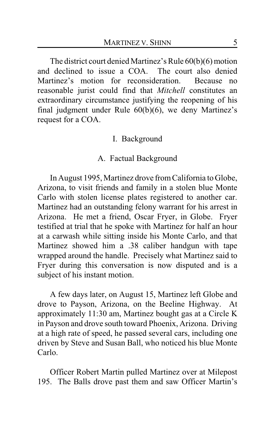The district court denied Martinez's Rule 60(b)(6) motion and declined to issue a COA. The court also denied Martinez's motion for reconsideration. Because no reasonable jurist could find that *Mitchell* constitutes an extraordinary circumstance justifying the reopening of his final judgment under Rule 60(b)(6), we deny Martinez's request for a COA.

### I. Background

### A. Factual Background

In August 1995, Martinez drove fromCalifornia to Globe, Arizona, to visit friends and family in a stolen blue Monte Carlo with stolen license plates registered to another car. Martinez had an outstanding felony warrant for his arrest in Arizona. He met a friend, Oscar Fryer, in Globe. Fryer testified at trial that he spoke with Martinez for half an hour at a carwash while sitting inside his Monte Carlo, and that Martinez showed him a .38 caliber handgun with tape wrapped around the handle. Precisely what Martinez said to Fryer during this conversation is now disputed and is a subject of his instant motion.

A few days later, on August 15, Martinez left Globe and drove to Payson, Arizona, on the Beeline Highway. At approximately 11:30 am, Martinez bought gas at a Circle K in Payson and drove south toward Phoenix, Arizona. Driving at a high rate of speed, he passed several cars, including one driven by Steve and Susan Ball, who noticed his blue Monte Carlo.

Officer Robert Martin pulled Martinez over at Milepost 195. The Balls drove past them and saw Officer Martin's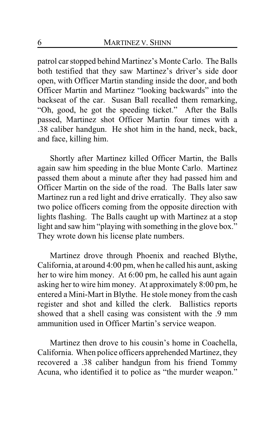patrol car stopped behind Martinez's Monte Carlo. The Balls both testified that they saw Martinez's driver's side door open, with Officer Martin standing inside the door, and both Officer Martin and Martinez "looking backwards" into the backseat of the car. Susan Ball recalled them remarking, "Oh, good, he got the speeding ticket." After the Balls passed, Martinez shot Officer Martin four times with a .38 caliber handgun. He shot him in the hand, neck, back, and face, killing him.

Shortly after Martinez killed Officer Martin, the Balls again saw him speeding in the blue Monte Carlo. Martinez passed them about a minute after they had passed him and Officer Martin on the side of the road. The Balls later saw Martinez run a red light and drive erratically. They also saw two police officers coming from the opposite direction with lights flashing. The Balls caught up with Martinez at a stop light and saw him "playing with something in the glove box." They wrote down his license plate numbers.

Martinez drove through Phoenix and reached Blythe, California, at around 4:00 pm, when he called his aunt, asking her to wire him money. At 6:00 pm, he called his aunt again asking her to wire him money. At approximately 8:00 pm, he entered a Mini-Mart in Blythe. He stole money from the cash register and shot and killed the clerk. Ballistics reports showed that a shell casing was consistent with the .9 mm ammunition used in Officer Martin's service weapon.

Martinez then drove to his cousin's home in Coachella, California. When police officers apprehended Martinez, they recovered a .38 caliber handgun from his friend Tommy Acuna, who identified it to police as "the murder weapon."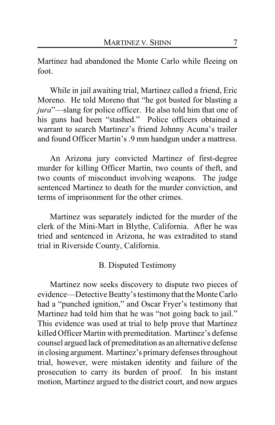Martinez had abandoned the Monte Carlo while fleeing on foot.

While in jail awaiting trial, Martinez called a friend, Eric Moreno. He told Moreno that "he got busted for blasting a *jura*"—slang for police officer. He also told him that one of his guns had been "stashed." Police officers obtained a warrant to search Martinez's friend Johnny Acuna's trailer and found Officer Martin's .9 mm handgun under a mattress.

An Arizona jury convicted Martinez of first-degree murder for killing Officer Martin, two counts of theft, and two counts of misconduct involving weapons. The judge sentenced Martinez to death for the murder conviction, and terms of imprisonment for the other crimes.

Martinez was separately indicted for the murder of the clerk of the Mini-Mart in Blythe, California. After he was tried and sentenced in Arizona, he was extradited to stand trial in Riverside County, California.

### B. Disputed Testimony

Martinez now seeks discovery to dispute two pieces of evidence—Detective Beatty's testimony that the Monte Carlo had a "punched ignition," and Oscar Fryer's testimony that Martinez had told him that he was "not going back to jail." This evidence was used at trial to help prove that Martinez killed Officer Martin with premeditation. Martinez's defense counsel argued lack of premeditation as an alternative defense in closing argument. Martinez's primary defenses throughout trial, however, were mistaken identity and failure of the prosecution to carry its burden of proof. In his instant motion, Martinez argued to the district court, and now argues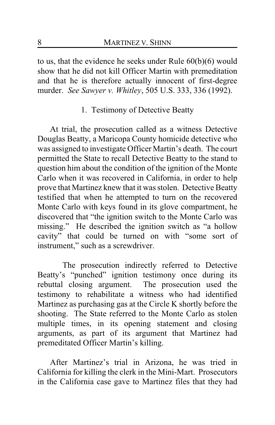to us, that the evidence he seeks under Rule 60(b)(6) would show that he did not kill Officer Martin with premeditation and that he is therefore actually innocent of first-degree murder. *See Sawyer v. Whitley*, 505 U.S. 333, 336 (1992).

# 1. Testimony of Detective Beatty

At trial, the prosecution called as a witness Detective Douglas Beatty, a Maricopa County homicide detective who was assigned to investigate Officer Martin's death. The court permitted the State to recall Detective Beatty to the stand to question him about the condition of the ignition of the Monte Carlo when it was recovered in California, in order to help prove that Martinez knew that it was stolen. Detective Beatty testified that when he attempted to turn on the recovered Monte Carlo with keys found in its glove compartment, he discovered that "the ignition switch to the Monte Carlo was missing." He described the ignition switch as "a hollow cavity" that could be turned on with "some sort of instrument," such as a screwdriver.

The prosecution indirectly referred to Detective Beatty's "punched" ignition testimony once during its rebuttal closing argument. The prosecution used the testimony to rehabilitate a witness who had identified Martinez as purchasing gas at the Circle K shortly before the shooting. The State referred to the Monte Carlo as stolen multiple times, in its opening statement and closing arguments, as part of its argument that Martinez had premeditated Officer Martin's killing.

After Martinez's trial in Arizona, he was tried in California for killing the clerk in the Mini-Mart. Prosecutors in the California case gave to Martinez files that they had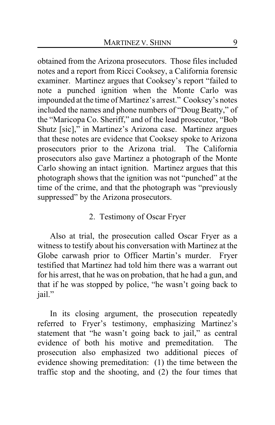obtained from the Arizona prosecutors. Those files included notes and a report from Ricci Cooksey, a California forensic examiner. Martinez argues that Cooksey's report "failed to note a punched ignition when the Monte Carlo was impounded at the time of Martinez's arrest." Cooksey's notes included the names and phone numbers of "Doug Beatty," of the "Maricopa Co. Sheriff," and of the lead prosecutor, "Bob Shutz [sic]," in Martinez's Arizona case. Martinez argues that these notes are evidence that Cooksey spoke to Arizona prosecutors prior to the Arizona trial. The California prosecutors also gave Martinez a photograph of the Monte Carlo showing an intact ignition. Martinez argues that this photograph shows that the ignition was not "punched" at the time of the crime, and that the photograph was "previously suppressed" by the Arizona prosecutors.

## 2. Testimony of Oscar Fryer

Also at trial, the prosecution called Oscar Fryer as a witness to testify about his conversation with Martinez at the Globe carwash prior to Officer Martin's murder. Fryer testified that Martinez had told him there was a warrant out for his arrest, that he was on probation, that he had a gun, and that if he was stopped by police, "he wasn't going back to jail."

In its closing argument, the prosecution repeatedly referred to Fryer's testimony, emphasizing Martinez's statement that "he wasn't going back to jail," as central evidence of both his motive and premeditation. The prosecution also emphasized two additional pieces of evidence showing premeditation: (1) the time between the traffic stop and the shooting, and (2) the four times that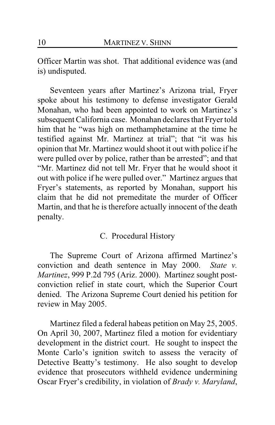Officer Martin was shot. That additional evidence was (and is) undisputed.

Seventeen years after Martinez's Arizona trial, Fryer spoke about his testimony to defense investigator Gerald Monahan, who had been appointed to work on Martinez's subsequent California case. Monahan declares that Fryer told him that he "was high on methamphetamine at the time he testified against Mr. Martinez at trial"; that "it was his opinion that Mr. Martinez would shoot it out with police if he were pulled over by police, rather than be arrested"; and that "Mr. Martinez did not tell Mr. Fryer that he would shoot it out with police if he were pulled over." Martinez argues that Fryer's statements, as reported by Monahan, support his claim that he did not premeditate the murder of Officer Martin, and that he is therefore actually innocent of the death penalty.

### C. Procedural History

The Supreme Court of Arizona affirmed Martinez's conviction and death sentence in May 2000. *State v. Martinez*, 999 P.2d 795 (Ariz. 2000). Martinez sought postconviction relief in state court, which the Superior Court denied. The Arizona Supreme Court denied his petition for review in May 2005.

Martinez filed a federal habeas petition on May 25, 2005. On April 30, 2007, Martinez filed a motion for evidentiary development in the district court. He sought to inspect the Monte Carlo's ignition switch to assess the veracity of Detective Beatty's testimony. He also sought to develop evidence that prosecutors withheld evidence undermining Oscar Fryer's credibility, in violation of *Brady v. Maryland*,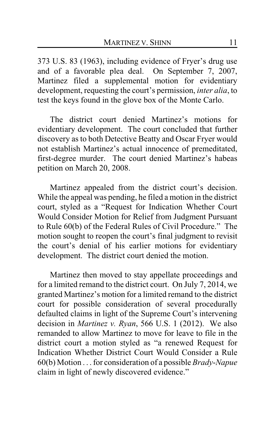373 U.S. 83 (1963), including evidence of Fryer's drug use and of a favorable plea deal. On September 7, 2007, Martinez filed a supplemental motion for evidentiary development, requesting the court's permission, *inter alia*, to test the keys found in the glove box of the Monte Carlo.

The district court denied Martinez's motions for evidentiary development. The court concluded that further discovery as to both Detective Beatty and Oscar Fryer would not establish Martinez's actual innocence of premeditated, first-degree murder. The court denied Martinez's habeas petition on March 20, 2008.

Martinez appealed from the district court's decision. While the appeal was pending, he filed a motion in the district court, styled as a "Request for Indication Whether Court Would Consider Motion for Relief from Judgment Pursuant to Rule 60(b) of the Federal Rules of Civil Procedure." The motion sought to reopen the court's final judgment to revisit the court's denial of his earlier motions for evidentiary development. The district court denied the motion.

Martinez then moved to stay appellate proceedings and for a limited remand to the district court. On July 7, 2014, we granted Martinez's motion for a limited remand to the district court for possible consideration of several procedurally defaulted claims in light of the Supreme Court's intervening decision in *Martinez v. Ryan*, 566 U.S. 1 (2012). We also remanded to allow Martinez to move for leave to file in the district court a motion styled as "a renewed Request for Indication Whether District Court Would Consider a Rule 60(b) Motion . . . for consideration of a possible *Brady*-*Napue* claim in light of newly discovered evidence."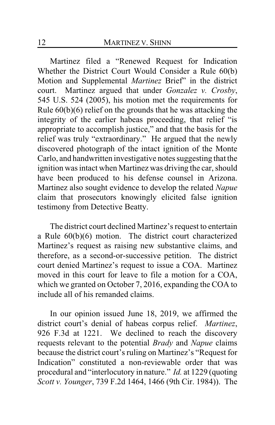Martinez filed a "Renewed Request for Indication Whether the District Court Would Consider a Rule 60(b) Motion and Supplemental *Martinez* Brief" in the district court. Martinez argued that under *Gonzalez v. Crosby*, 545 U.S. 524 (2005), his motion met the requirements for Rule 60(b)(6) relief on the grounds that he was attacking the integrity of the earlier habeas proceeding, that relief "is appropriate to accomplish justice," and that the basis for the relief was truly "extraordinary." He argued that the newly discovered photograph of the intact ignition of the Monte Carlo, and handwritten investigative notes suggesting that the ignition was intact when Martinez was driving the car, should have been produced to his defense counsel in Arizona. Martinez also sought evidence to develop the related *Napue* claim that prosecutors knowingly elicited false ignition testimony from Detective Beatty.

The district court declined Martinez's request to entertain a Rule 60(b)(6) motion. The district court characterized Martinez's request as raising new substantive claims, and therefore, as a second-or-successive petition. The district court denied Martinez's request to issue a COA. Martinez moved in this court for leave to file a motion for a COA, which we granted on October 7, 2016, expanding the COA to include all of his remanded claims.

In our opinion issued June 18, 2019, we affirmed the district court's denial of habeas corpus relief. *Martinez*, 926 F.3d at 1221. We declined to reach the discovery requests relevant to the potential *Brady* and *Napue* claims because the district court's ruling on Martinez's "Request for Indication" constituted a non-reviewable order that was procedural and "interlocutory in nature." *Id.* at 1229 (quoting *Scott v. Younger*, 739 F.2d 1464, 1466 (9th Cir. 1984)). The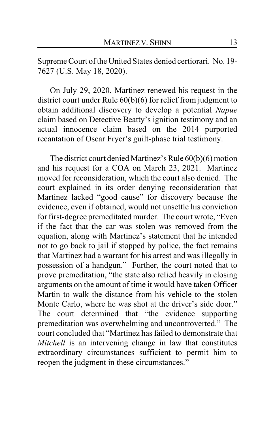Supreme Court of the United States denied certiorari. No. 19- 7627 (U.S. May 18, 2020).

On July 29, 2020, Martinez renewed his request in the district court under Rule 60(b)(6) for relief from judgment to obtain additional discovery to develop a potential *Napue* claim based on Detective Beatty's ignition testimony and an actual innocence claim based on the 2014 purported recantation of Oscar Fryer's guilt-phase trial testimony.

The district court denied Martinez's Rule 60(b)(6) motion and his request for a COA on March 23, 2021. Martinez moved for reconsideration, which the court also denied. The court explained in its order denying reconsideration that Martinez lacked "good cause" for discovery because the evidence, even if obtained, would not unsettle his conviction for first-degree premeditated murder. The court wrote, "Even if the fact that the car was stolen was removed from the equation, along with Martinez's statement that he intended not to go back to jail if stopped by police, the fact remains that Martinez had a warrant for his arrest and was illegally in possession of a handgun." Further, the court noted that to prove premeditation, "the state also relied heavily in closing arguments on the amount of time it would have taken Officer Martin to walk the distance from his vehicle to the stolen Monte Carlo, where he was shot at the driver's side door." The court determined that "the evidence supporting premeditation was overwhelming and uncontroverted." The court concluded that "Martinez has failed to demonstrate that *Mitchell* is an intervening change in law that constitutes extraordinary circumstances sufficient to permit him to reopen the judgment in these circumstances."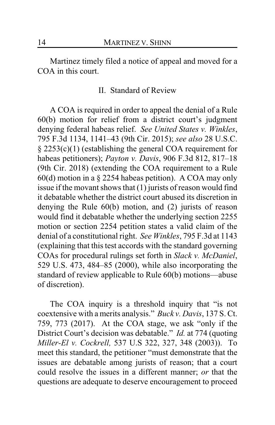Martinez timely filed a notice of appeal and moved for a COA in this court.

### II. Standard of Review

A COA is required in order to appeal the denial of a Rule 60(b) motion for relief from a district court's judgment denying federal habeas relief. *See United States v. Winkles*, 795 F.3d 1134, 1141–43 (9th Cir. 2015); *see also* 28 U.S.C. § 2253(c)(1) (establishing the general COA requirement for habeas petitioners); *Payton v. Davis*, 906 F.3d 812, 817–18 (9th Cir. 2018) (extending the COA requirement to a Rule 60(d) motion in a § 2254 habeas petition). A COA may only issue if the movant shows that (1) jurists of reason would find it debatable whether the district court abused its discretion in denying the Rule 60(b) motion, and (2) jurists of reason would find it debatable whether the underlying section 2255 motion or section 2254 petition states a valid claim of the denial of a constitutional right. *See Winkles*, 795 F.3d at 1143 (explaining that this test accords with the standard governing COAs for procedural rulings set forth in *Slack v. McDaniel*, 529 U.S. 473, 484–85 (2000), while also incorporating the standard of review applicable to Rule 60(b) motions—abuse of discretion).

The COA inquiry is a threshold inquiry that "is not coextensive with a merits analysis." *Buck v. Davis*, 137 S. Ct. 759, 773 (2017). At the COA stage, we ask "only if the District Court's decision was debatable." *Id.* at 774 (quoting *Miller-El v. Cockrell,* 537 U.S 322, 327, 348 (2003)). To meet this standard, the petitioner "must demonstrate that the issues are debatable among jurists of reason; that a court could resolve the issues in a different manner; *or* that the questions are adequate to deserve encouragement to proceed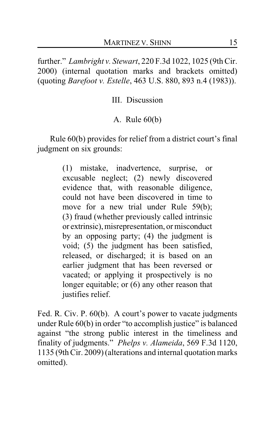further." *Lambright v. Stewart*, 220 F.3d 1022, 1025 (9th Cir. 2000) (internal quotation marks and brackets omitted) (quoting *Barefoot v. Estelle*, 463 U.S. 880, 893 n.4 (1983)).

III. Discussion

A. Rule 60(b)

Rule 60(b) provides for relief from a district court's final judgment on six grounds:

> (1) mistake, inadvertence, surprise, or excusable neglect; (2) newly discovered evidence that, with reasonable diligence, could not have been discovered in time to move for a new trial under Rule 59(b); (3) fraud (whether previously called intrinsic or extrinsic), misrepresentation, or misconduct by an opposing party; (4) the judgment is void; (5) the judgment has been satisfied, released, or discharged; it is based on an earlier judgment that has been reversed or vacated; or applying it prospectively is no longer equitable; or (6) any other reason that justifies relief.

Fed. R. Civ. P. 60(b). A court's power to vacate judgments under Rule 60(b) in order "to accomplish justice" is balanced against "the strong public interest in the timeliness and finality of judgments." *Phelps v. Alameida*, 569 F.3d 1120, 1135 (9th Cir. 2009) (alterations and internal quotation marks omitted).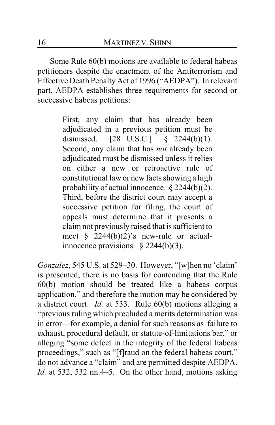Some Rule 60(b) motions are available to federal habeas petitioners despite the enactment of the Antiterrorism and Effective Death Penalty Act of 1996 ("AEDPA"). In relevant part, AEDPA establishes three requirements for second or successive habeas petitions:

> First, any claim that has already been adjudicated in a previous petition must be dismissed. [28 U.S.C.] § 2244(b)(1). Second, any claim that has *not* already been adjudicated must be dismissed unless it relies on either a new or retroactive rule of constitutional law or new facts showing a high probability of actual innocence. § 2244(b)(2). Third, before the district court may accept a successive petition for filing, the court of appeals must determine that it presents a claim not previously raised that is sufficient to meet § 2244(b)(2)'s new-rule or actualinnocence provisions.  $\S$  2244(b)(3).

*Gonzalez*, 545 U.S. at 529–30. However, "[w]hen no 'claim' is presented, there is no basis for contending that the Rule 60(b) motion should be treated like a habeas corpus application," and therefore the motion may be considered by a district court. *Id.* at 533. Rule 60(b) motions alleging a "previous ruling which precluded a merits determination was in error—for example, a denial for such reasons as failure to exhaust, procedural default, or statute-of-limitations bar," or alleging "some defect in the integrity of the federal habeas proceedings," such as "[f]raud on the federal habeas court," do not advance a "claim" and are permitted despite AEDPA. *Id.* at 532, 532 nn.4–5. On the other hand, motions asking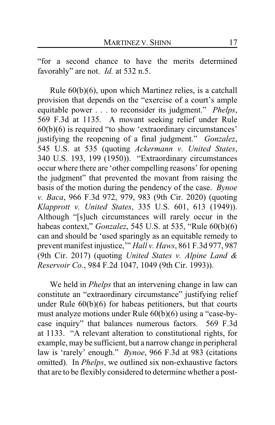"for a second chance to have the merits determined favorably" are not. *Id.* at 532 n.5.

Rule 60(b)(6), upon which Martinez relies, is a catchall provision that depends on the "exercise of a court's ample equitable power . . . to reconsider its judgment." *Phelps*, 569 F.3d at 1135. A movant seeking relief under Rule 60(b)(6) is required "to show 'extraordinary circumstances' justifying the reopening of a final judgment." *Gonzalez*, 545 U.S. at 535 (quoting *Ackermann v. United States*, 340 U.S. 193, 199 (1950)). "Extraordinary circumstances occur where there are 'other compelling reasons' for opening the judgment" that prevented the movant from raising the basis of the motion during the pendency of the case. *Bynoe v. Baca*, 966 F.3d 972, 979, 983 (9th Cir. 2020) (quoting *Klapprott v. United States*, 335 U.S. 601, 613 (1949)). Although "[s]uch circumstances will rarely occur in the habeas context," *Gonzalez*, 545 U.S. at 535, "Rule 60(b)(6) can and should be 'used sparingly as an equitable remedy to prevent manifest injustice,'" *Hall v. Haws*, 861 F.3d 977, 987 (9th Cir. 2017) (quoting *United States v. Alpine Land & Reservoir Co.*, 984 F.2d 1047, 1049 (9th Cir. 1993)).

We held in *Phelps* that an intervening change in law can constitute an "extraordinary circumstance" justifying relief under Rule 60(b)(6) for habeas petitioners, but that courts must analyze motions under Rule 60(b)(6) using a "case-bycase inquiry" that balances numerous factors. 569 F.3d at 1133. "A relevant alteration to constitutional rights, for example, may be sufficient, but a narrow change in peripheral law is 'rarely' enough." *Bynoe*, 966 F.3d at 983 (citations omitted). In *Phelps*, we outlined six non-exhaustive factors that are to be flexibly considered to determine whether a post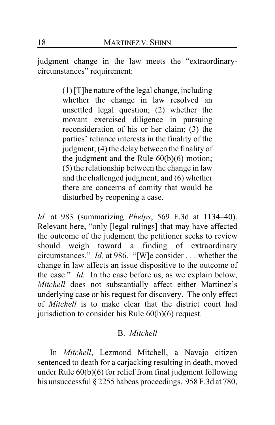judgment change in the law meets the "extraordinarycircumstances" requirement:

> (1) [T]he nature of the legal change, including whether the change in law resolved an unsettled legal question; (2) whether the movant exercised diligence in pursuing reconsideration of his or her claim; (3) the parties' reliance interests in the finality of the judgment; (4) the delay between the finality of the judgment and the Rule 60(b)(6) motion; (5) the relationship between the change in law and the challenged judgment; and (6) whether there are concerns of comity that would be disturbed by reopening a case.

*Id.* at 983 (summarizing *Phelps*, 569 F.3d at 1134–40). Relevant here, "only [legal rulings] that may have affected the outcome of the judgment the petitioner seeks to review should weigh toward a finding of extraordinary circumstances." *Id.* at 986. "[W]e consider . . . whether the change in law affects an issue dispositive to the outcome of the case." *Id.* In the case before us, as we explain below, *Mitchell* does not substantially affect either Martinez's underlying case or his request for discovery. The only effect of *Mitchell* is to make clear that the district court had jurisdiction to consider his Rule 60(b)(6) request.

## B. *Mitchell*

In *Mitchell*, Lezmond Mitchell, a Navajo citizen sentenced to death for a carjacking resulting in death, moved under Rule 60(b)(6) for relief from final judgment following his unsuccessful § 2255 habeas proceedings. 958 F.3d at 780,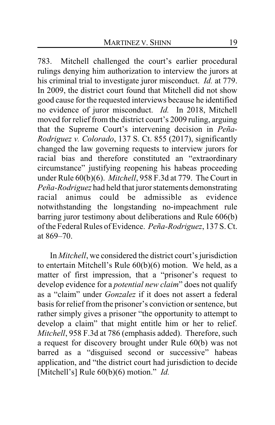783. Mitchell challenged the court's earlier procedural rulings denying him authorization to interview the jurors at his criminal trial to investigate juror misconduct. *Id.* at 779. In 2009, the district court found that Mitchell did not show good cause for the requested interviews because he identified no evidence of juror misconduct. *Id.* In 2018, Mitchell moved for relief from the district court's 2009 ruling, arguing that the Supreme Court's intervening decision in *Peña-Rodriguez v. Colorado*, 137 S. Ct. 855 (2017), significantly changed the law governing requests to interview jurors for racial bias and therefore constituted an "extraordinary circumstance" justifying reopening his habeas proceeding under Rule 60(b)(6). *Mitchell*, 958 F.3d at 779. The Court in *Peña-Rodriguez* had held that juror statements demonstrating racial animus could be admissible as evidence notwithstanding the longstanding no-impeachment rule barring juror testimony about deliberations and Rule 606(b) of the Federal Rules of Evidence. *Peña-Rodriguez*, 137 S. Ct. at 869–70.

In *Mitchell*, we considered the district court's jurisdiction to entertain Mitchell's Rule 60(b)(6) motion. We held, as a matter of first impression, that a "prisoner's request to develop evidence for a *potential new claim*" does not qualify as a "claim" under *Gonzalez* if it does not assert a federal basis for relief fromthe prisoner's conviction or sentence, but rather simply gives a prisoner "the opportunity to attempt to develop a claim" that might entitle him or her to relief. *Mitchell*, 958 F.3d at 786 (emphasis added). Therefore, such a request for discovery brought under Rule 60(b) was not barred as a "disguised second or successive" habeas application, and "the district court had jurisdiction to decide [Mitchell's] Rule 60(b)(6) motion." *Id.*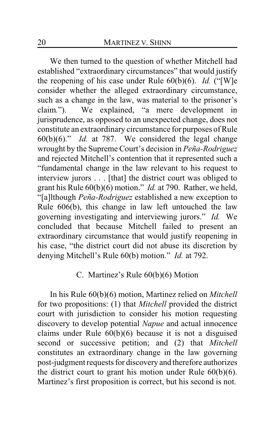We then turned to the question of whether Mitchell had established "extraordinary circumstances" that would justify the reopening of his case under Rule 60(b)(6). *Id.* ("[W]e consider whether the alleged extraordinary circumstance, such as a change in the law, was material to the prisoner's claim*.*"). We explained, "a mere development in jurisprudence, as opposed to an unexpected change, does not constitute an extraordinary circumstance for purposes of Rule 60(b)(6)." *Id.* at 787. We considered the legal change wrought by the Supreme Court's decision in *Peña-Rodriguez* and rejected Mitchell's contention that it represented such a "fundamental change in the law relevant to his request to interview jurors . . . [that] the district court was obliged to grant his Rule 60(b)(6) motion." *Id.* at 790. Rather, we held, "[a]lthough *Peña-Rodriguez* established a new exception to Rule 606(b), this change in law left untouched the law governing investigating and interviewing jurors." *Id.* We concluded that because Mitchell failed to present an extraordinary circumstance that would justify reopening in his case, "the district court did not abuse its discretion by denying Mitchell's Rule 60(b) motion." *Id.* at 792.

### C. Martinez's Rule 60(b)(6) Motion

In his Rule 60(b)(6) motion, Martinez relied on *Mitchell* for two propositions: (1) that *Mitchell* provided the district court with jurisdiction to consider his motion requesting discovery to develop potential *Napue* and actual innocence claims under Rule 60(b)(6) because it is not a disguised second or successive petition; and (2) that *Mitchell* constitutes an extraordinary change in the law governing post-judgment requests for discovery and therefore authorizes the district court to grant his motion under Rule  $60(b)(6)$ . Martinez's first proposition is correct, but his second is not.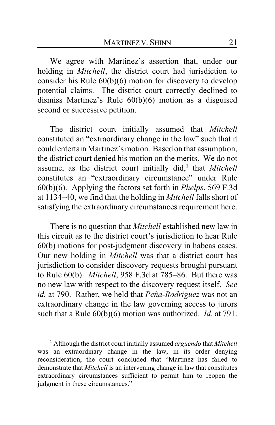We agree with Martinez's assertion that, under our holding in *Mitchell*, the district court had jurisdiction to consider his Rule 60(b)(6) motion for discovery to develop potential claims. The district court correctly declined to dismiss Martinez's Rule 60(b)(6) motion as a disguised second or successive petition.

The district court initially assumed that *Mitchell* constituted an "extraordinary change in the law" such that it could entertain Martinez's motion. Based on that assumption, the district court denied his motion on the merits. We do not assume, as the district court initially did,**<sup>1</sup>** that *Mitchell* constitutes an "extraordinary circumstance" under Rule 60(b)(6). Applying the factors set forth in *Phelps*, 569 F.3d at 1134–40, we find that the holding in *Mitchell* falls short of satisfying the extraordinary circumstances requirement here.

There is no question that *Mitchell* established new law in this circuit as to the district court's jurisdiction to hear Rule 60(b) motions for post-judgment discovery in habeas cases. Our new holding in *Mitchell* was that a district court has jurisdiction to consider discovery requests brought pursuant to Rule 60(b). *Mitchell*, 958 F.3d at 785–86. But there was no new law with respect to the discovery request itself. *See id.* at 790. Rather, we held that *Peña-Rodriguez* was not an extraordinary change in the law governing access to jurors such that a Rule 60(b)(6) motion was authorized. *Id.* at 791.

**<sup>1</sup>** Although the district court initially assumed *arguendo* that *Mitchell* was an extraordinary change in the law, in its order denying reconsideration, the court concluded that "Martinez has failed to demonstrate that *Mitchell* is an intervening change in law that constitutes extraordinary circumstances sufficient to permit him to reopen the judgment in these circumstances."